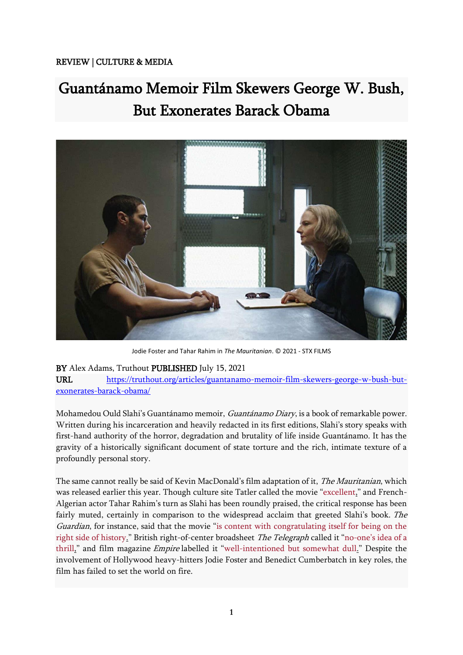## REVIEW | CULTURE & MEDIA

## Guantánamo Memoir Film Skewers George W. Bush, But Exonerates Barack Obama



Jodie Foster and Tahar Rahim in *The Mauritanian*. © 2021 - STX FILMS

## BY Alex Adams, Truthout PUBLISHED July 15, 2021

URL [https://truthout.org/articles/guantanamo-memoir-film-skewers-george-w-bush-but](https://truthout.org/articles/guantanamo-memoir-film-skewers-george-w-bush-but-exonerates-barack-obama/)[exonerates-barack-obama/](https://truthout.org/articles/guantanamo-memoir-film-skewers-george-w-bush-but-exonerates-barack-obama/)

Mohamedou Ould Slahi's Guantánamo memoir, Guantánamo Diary, is a book of remarkable power. Written during his incarceration and heavily redacted in its first editions, Slahi's story speaks with first-hand authority of the horror, degradation and brutality of life inside Guantánamo. It has the gravity of a historically significant document of state torture and the rich, intimate texture of a profoundly personal story.

The same cannot really be said of Kevin MacDonald's film adaptation of it, *The Mauritanian*, which was released earlier this year. Though culture site Tatler called the movie "[excellent,](https://www.tatler.com/article/the-mauritanian-review)" and French-Algerian actor Tahar Rahim's turn as Slahi has been roundly praised, the critical response has been fairly muted, certainly in comparison to the widespread acclaim that greeted Slahi's book. The Guardian, for instance, said that the movie "[is content with congratulating itself for being on the](https://www.theguardian.com/film/2021/jan/13/the-mauritanian-review-guantanamo-bay-mohamedou-ould-salahi-tahar-rahim)  [right side of history.](https://www.theguardian.com/film/2021/jan/13/the-mauritanian-review-guantanamo-bay-mohamedou-ould-salahi-tahar-rahim)" British right-of-center broadsheet The Telegraph called it "no-[one's idea of a](https://www.telegraph.co.uk/films/0/mauritanian-review-cumberbatch-guantanamo-no-ones-idea-thrill/)  [thrill,](https://www.telegraph.co.uk/films/0/mauritanian-review-cumberbatch-guantanamo-no-ones-idea-thrill/)" and film magazine Empire labelled it "[well-intentioned but somewhat dull.](https://www.empireonline.com/movies/reviews/the-mauritanian/)" Despite the involvement of Hollywood heavy-hitters Jodie Foster and Benedict Cumberbatch in key roles, the film has failed to set the world on fire.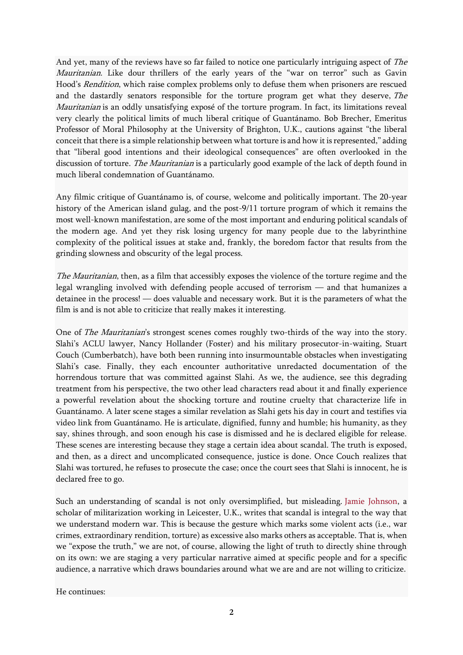And yet, many of the reviews have so far failed to notice one particularly intriguing aspect of The Mauritanian. Like dour thrillers of the early years of the "war on terror" such as Gavin Hood's *Rendition*, which raise complex problems only to defuse them when prisoners are rescued and the dastardly senators responsible for the torture program get what they deserve, The Mauritanian is an oddly unsatisfying exposé of the torture program. In fact, its limitations reveal very clearly the political limits of much liberal critique of Guantánamo. Bob Brecher, Emeritus Professor of Moral Philosophy at the University of Brighton, U.K., cautions against "the liberal conceit that there is a simple relationship between what torture is and how it is represented," adding that "liberal good intentions and their ideological consequences" are often overlooked in the discussion of torture. The Mauritanian is a particularly good example of the lack of depth found in much liberal condemnation of Guantánamo.

Any filmic critique of Guantánamo is, of course, welcome and politically important. The 20-year history of the American island gulag, and the post-9/11 torture program of which it remains the most well-known manifestation, are some of the most important and enduring political scandals of the modern age. And yet they risk losing urgency for many people due to the labyrinthine complexity of the political issues at stake and, frankly, the boredom factor that results from the grinding slowness and obscurity of the legal process.

The Mauritanian, then, as a film that accessibly exposes the violence of the torture regime and the legal wrangling involved with defending people accused of terrorism — and that humanizes a detainee in the process! — does valuable and necessary work. But it is the parameters of what the film is and is not able to criticize that really makes it interesting.

One of *The Mauritanian's* strongest scenes comes roughly two-thirds of the way into the story. Slahi's ACLU lawyer, Nancy Hollander (Foster) and his military prosecutor-in-waiting, Stuart Couch (Cumberbatch), have both been running into insurmountable obstacles when investigating Slahi's case. Finally, they each encounter authoritative unredacted documentation of the horrendous torture that was committed against Slahi. As we, the audience, see this degrading treatment from his perspective, the two other lead characters read about it and finally experience a powerful revelation about the shocking torture and routine cruelty that characterize life in Guantánamo. A later scene stages a similar revelation as Slahi gets his day in court and testifies via video link from Guantánamo. He is articulate, dignified, funny and humble; his humanity, as they say, shines through, and soon enough his case is dismissed and he is declared eligible for release. These scenes are interesting because they stage a certain idea about scandal. The truth is exposed, and then, as a direct and uncomplicated consequence, justice is done. Once Couch realizes that Slahi was tortured, he refuses to prosecute the case; once the court sees that Slahi is innocent, he is declared free to go.

Such an understanding of scandal is not only oversimplified, but misleading. [Jamie Johnson,](https://journals.sagepub.com/doi/full/10.1177/1354066116669569) a scholar of militarization working in Leicester, U.K., writes that scandal is integral to the way that we understand modern war. This is because the gesture which marks some violent acts (i.e., war crimes, extraordinary rendition, torture) as excessive also marks others as acceptable. That is, when we "expose the truth," we are not, of course, allowing the light of truth to directly shine through on its own: we are staging a very particular narrative aimed at specific people and for a specific audience, a narrative which draws boundaries around what we are and are not willing to criticize.

He continues: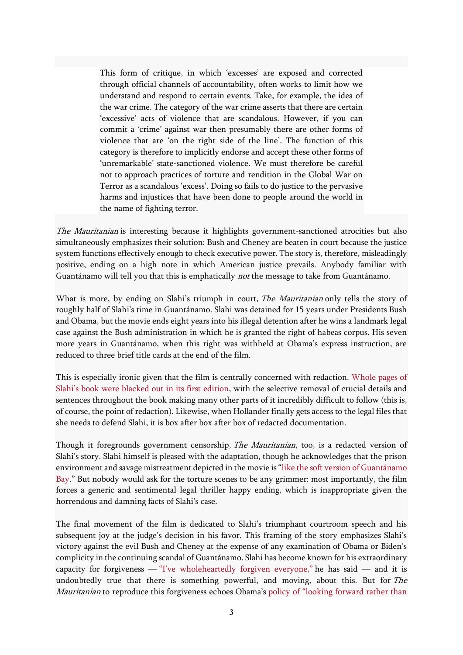This form of critique, in which 'excesses' are exposed and corrected through official channels of accountability, often works to limit how we understand and respond to certain events. Take, for example, the idea of the war crime. The category of the war crime asserts that there are certain 'excessive' acts of violence that are scandalous. However, if you can commit a 'crime' against war then presumably there are other forms of violence that are 'on the right side of the line'. The function of this category is therefore to implicitly endorse and accept these other forms of 'unremarkable' state-sanctioned violence. We must therefore be careful not to approach practices of torture and rendition in the Global War on Terror as a scandalous 'excess'. Doing so fails to do justice to the pervasive harms and injustices that have been done to people around the world in the name of fighting terror.

The Mauritanian is interesting because it highlights government-sanctioned atrocities but also simultaneously emphasizes their solution: Bush and Cheney are beaten in court because the justice system functions effectively enough to check executive power. The story is, therefore, misleadingly positive, ending on a high note in which American justice prevails. Anybody familiar with Guantánamo will tell you that this is emphatically not the message to take from Guantánamo.

What is more, by ending on Slahi's triumph in court, *The Mauritanian* only tells the story of roughly half of Slahi's time in Guantánamo. Slahi was detained for 15 years under Presidents Bush and Obama, but the movie ends eight years into his illegal detention after he wins a landmark legal case against the Bush administration in which he is granted the right of habeas corpus. His seven more years in Guantánamo, when this right was withheld at Obama's express instruction, are reduced to three brief title cards at the end of the film.

This is especially ironic given that the film is centrally concerned with redaction. [Whole pages of](https://www.pri.org/stories/2015-01-22/much-guantanamo-detainees-diary-didnt-make-it-past-government-censors)  [Slahi's book were blacked out in its first edition](https://www.pri.org/stories/2015-01-22/much-guantanamo-detainees-diary-didnt-make-it-past-government-censors), with the selective removal of crucial details and sentences throughout the book making many other parts of it incredibly difficult to follow (this is, of course, the point of redaction). Likewise, when Hollander finally gets access to the legal files that she needs to defend Slahi, it is box after box after box of redacted documentation.

Though it foregrounds government censorship, The Mauritanian, too, is a redacted version of Slahi's story. Slahi himself is pleased with the adaptation, though he acknowledges that the prison environment and savage mistreatment depicted in the movie is "[like the soft version of Guantánamo](https://www.independent.ie/entertainment/movies/ive-forgiven-my-guantanamo-bay-captors-mo-ould-slahi-tells-his-story-which-features-in-new-film-the-mauritanian-40236724.html)  [Bay](https://www.independent.ie/entertainment/movies/ive-forgiven-my-guantanamo-bay-captors-mo-ould-slahi-tells-his-story-which-features-in-new-film-the-mauritanian-40236724.html)." But nobody would ask for the torture scenes to be any grimmer: most importantly, the film forces a generic and sentimental legal thriller happy ending, which is inappropriate given the horrendous and damning facts of Slahi's case.

The final movement of the film is dedicated to Slahi's triumphant courtroom speech and his subsequent joy at the judge's decision in his favor. This framing of the story emphasizes Slahi's victory against the evil Bush and Cheney at the expense of any examination of Obama or Biden's complicity in the continuing scandal of Guantánamo. Slahi has become known for his extraordinary capacity for forgiveness — ["I've wholeheartedly forgiven everyone,"](http://www.andyworthington.co.uk/2019/09/05/guantanamo-torture-victim-mohamedou-ould-salahi-and-the-extraordinary-power-of-forgiveness/) he has said — and it is undoubtedly true that there is something powerful, and moving, about this. But for The Mauritanian to reproduce this forgiveness echoes Obama's policy of "looking [forward rather than](https://www.vox.com/xpress/2014/12/9/7361667/senate-torture-report-kiriakou)